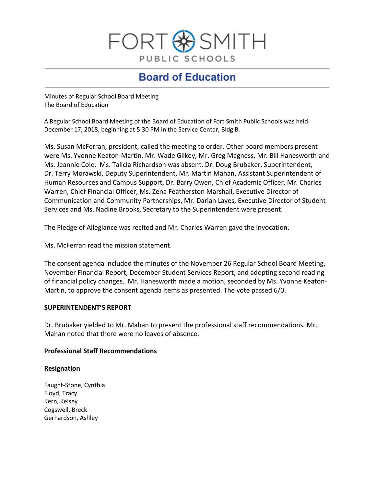

# **Board of Education**

Minutes of Regular School Board Meeting The Board of Education

A Regular School Board Meeting of the Board of Education of Fort Smith Public Schools was held December 17, 2018, beginning at 5:30 PM in the Service Center, Bldg B.

Ms. Susan McFerran, president, called the meeting to order. Other board members present were Ms. Yvonne Keaton-Martin, Mr. Wade Gilkey, Mr. Greg Magness, Mr. Bill Hanesworth and Ms. Jeannie Cole. Ms. Talicia Richardson was absent. Dr. Doug Brubaker, Superintendent, Dr. Terry Morawski, Deputy Superintendent, Mr. Martin Mahan, Assistant Superintendent of Human Resources and Campus Support, Dr. Barry Owen, Chief Academic Officer, Mr. Charles Warren, Chief Financial Officer, Ms. Zena Featherston Marshall, Executive Director of Communication and Community Partnerships, Mr. Darian Layes, Executive Director of Student Services and Ms. Nadine Brooks, Secretary to the Superintendent were present.

The Pledge of Allegiance was recited and Mr. Charles Warren gave the Invocation.

Ms. McFerran read the mission statement.

The consent agenda included the minutes of the November 26 Regular School Board Meeting, November Financial Report, December Student Services Report, and adopting second reading of financial policy changes. Mr. Hanesworth made a motion, seconded by Ms. Yvonne Keaton-Martin, to approve the consent agenda items as presented. The vote passed 6/0.

## **SUPERINTENDENT'S REPORT**

Dr. Brubaker yielded to Mr. Mahan to present the professional staff recommendations. Mr. Mahan noted that there were no leaves of absence.

## **Professional Staff Recommendations**

## **Resignation**

Faught-Stone, Cynthia Floyd, Tracy Kern, Kelsey Cogswell, Breck Gerhardson, Ashley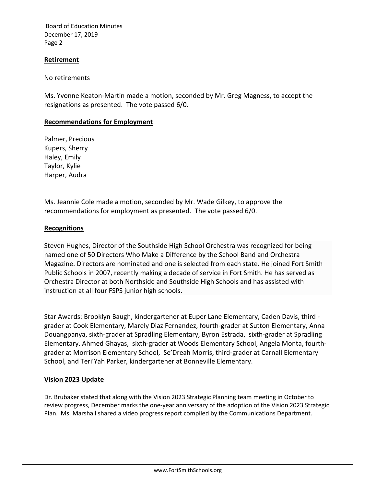Board of Education Minutes December 17, 2019 Page 2

#### **Retirement**

No retirements

Ms. Yvonne Keaton-Martin made a motion, seconded by Mr. Greg Magness, to accept the resignations as presented. The vote passed 6/0.

## **Recommendations for Employment**

Palmer, Precious Kupers, Sherry Haley, Emily Taylor, Kylie Harper, Audra

Ms. Jeannie Cole made a motion, seconded by Mr. Wade Gilkey, to approve the recommendations for employment as presented. The vote passed 6/0.

#### **Recognitions**

Steven Hughes, Director of the Southside High School Orchestra was recognized for being named one of 50 Directors Who Make a Difference by the School Band and Orchestra Magazine. Directors are nominated and one is selected from each state. He joined Fort Smith Public Schools in 2007, recently making a decade of service in Fort Smith. He has served as Orchestra Director at both Northside and Southside High Schools and has assisted with instruction at all four FSPS junior high schools.

Star Awards: Brooklyn Baugh, kindergartener at Euper Lane Elementary, Caden Davis, third grader at Cook Elementary, Marely Diaz Fernandez, fourth-grader at Sutton Elementary, Anna Douangpanya, sixth-grader at Spradling Elementary, Byron Estrada, sixth-grader at Spradling Elementary. Ahmed Ghayas, sixth-grader at Woods Elementary School, Angela Monta, fourthgrader at Morrison Elementary School, Se'Dreah Morris, third-grader at Carnall Elementary School, and Teri'Yah Parker, kindergartener at Bonneville Elementary.

## **Vision 2023 Update**

Dr. Brubaker stated that along with the Vision 2023 Strategic Planning team meeting in October to review progress, December marks the one-year anniversary of the adoption of the Vision 2023 Strategic Plan. Ms. Marshall shared a video progress report compiled by the Communications Department.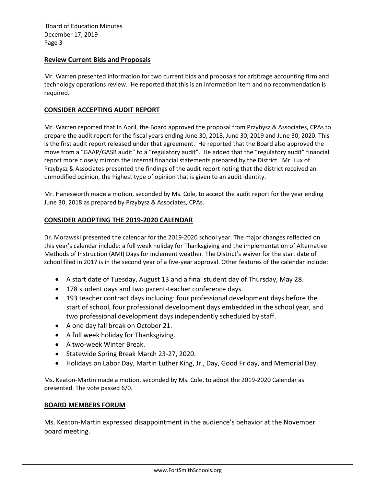Board of Education Minutes December 17, 2019 Page 3

#### **Review Current Bids and Proposals**

Mr. Warren presented information for two current bids and proposals for arbitrage accounting firm and technology operations review. He reported that this is an information item and no recommendation is required.

#### **CONSIDER ACCEPTING AUDIT REPORT**

Mr. Warren reported that In April, the Board approved the proposal from Przybysz & Associates, CPAs to prepare the audit report for the fiscal years ending June 30, 2018, June 30, 2019 and June 30, 2020. This is the first audit report released under that agreement. He reported that the Board also approved the move from a "GAAP/GASB audit" to a "regulatory audit". He added that the "regulatory audit" financial report more closely mirrors the internal financial statements prepared by the District. Mr. Lux of Przybysz & Associates presented the findings of the audit report noting that the district received an unmodified opinion, the highest type of opinion that is given to an audit identity.

Mr. Hanesworth made a motion, seconded by Ms. Cole, to accept the audit report for the year ending June 30, 2018 as prepared by Przybysz & Associates, CPAs.

## **CONSIDER ADOPTING THE 2019-2020 CALENDAR**

Dr. Morawski presented the calendar for the 2019-2020 school year. The major changes reflected on this year's calendar include: a full week holiday for Thanksgiving and the implementation of Alternative Methods of Instruction (AMI) Days for inclement weather. The District's waiver for the start date of school filed in 2017 is in the second year of a five-year approval. Other features of the calendar include:

- A start date of Tuesday, August 13 and a final student day of Thursday, May 28.
- 178 student days and two parent-teacher conference days.
- 193 teacher contract days including: four professional development days before the start of school, four professional development days embedded in the school year, and two professional development days independently scheduled by staff.
- A one day fall break on October 21.
- A full week holiday for Thanksgiving.
- A two-week Winter Break.
- Statewide Spring Break March 23-27, 2020.
- Holidays on Labor Day, Martin Luther King, Jr., Day, Good Friday, and Memorial Day.

Ms. Keaton-Martin made a motion, seconded by Ms. Cole, to adopt the 2019-2020 Calendar as presented. The vote passed 6/0.

#### **BOARD MEMBERS FORUM**

Ms. Keaton-Martin expressed disappointment in the audience's behavior at the November board meeting.